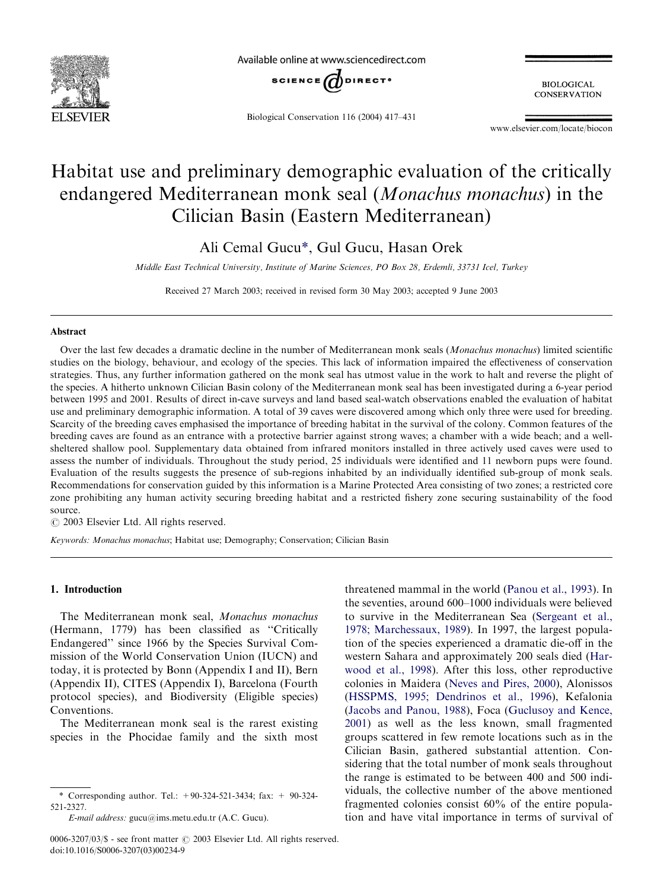

Available online at www.sciencedirect.com



Biological Conservation 116 (2004) 417–431

**BIOLOGICAL CONSERVATION** 

[www.elsevier.com/locate/biocon](http://www.elsevier.com/locate/biocon/a4.3d)

# Habitat use and preliminary demographic evaluation of the critically endangered Mediterranean monk seal (Monachus monachus) in the Cilician Basin (Eastern Mediterranean)

Ali Cemal Gucu\*, Gul Gucu, Hasan Orek

Middle East Technical University, Institute of Marine Sciences, PO Box 28, Erdemli, 33731 Icel, Turkey

Received 27 March 2003; received in revised form 30 May 2003; accepted 9 June 2003

#### **Abstract**

Over the last few decades a dramatic decline in the number of Mediterranean monk seals (Monachus monachus) limited scientific studies on the biology, behaviour, and ecology of the species. This lack of information impaired the effectiveness of conservation strategies. Thus, any further information gathered on the monk seal has utmost value in the work to halt and reverse the plight of the species. A hitherto unknown Cilician Basin colony of the Mediterranean monk seal has been investigated during a 6-year period between 1995 and 2001. Results of direct in-cave surveys and land based seal-watch observations enabled the evaluation of habitat use and preliminary demographic information. A total of 39 caves were discovered among which only three were used for breeding. Scarcity of the breeding caves emphasised the importance of breeding habitat in the survival of the colony. Common features of the breeding caves are found as an entrance with a protective barrier against strong waves; a chamber with a wide beach; and a wellsheltered shallow pool. Supplementary data obtained from infrared monitors installed in three actively used caves were used to assess the number of individuals. Throughout the study period,25 individuals were identified and 11 newborn pups were found. Evaluation of the results suggests the presence of sub-regions inhabited by an individually identified sub-group of monk seals. Recommendations for conservation guided by this information is a Marine Protected Area consisting of two zones; a restricted core zone prohibiting any human activity securing breeding habitat and a restricted fishery zone securing sustainability of the food source.

 $\odot$  2003 Elsevier Ltd. All rights reserved.

Keywords: Monachus monachus; Habitat use; Demography; Conservation; Cilician Basin

## 1. Introduction

The Mediterranean monk seal, Monachus monachus (Hermann,1779) has been classified as ''Critically Endangered'' since 1966 by the Species Survival Commission of the World Conservation Union (IUCN) and today, it is protected by Bonn (Appendix I and II), Bern (Appendix II), CITES (Appendix I), Barcelona (Fourth protocol species), and Biodiversity (Eligible species) Conventions.

The Mediterranean monk seal is the rarest existing species in the Phocidae family and the sixth most threatened mammal in the world ([Panou et al.,1993\)](#page-14-0). In the seventies, around 600–1000 individuals were believed to survive in the Mediterranean Sea ([Sergeant et al.,](#page-14-0) 1978; Marchessaux, 1989). In 1997, the largest population of the species experienced a dramatic die-off in the western Sahara and approximately 200 seals died ([Har](#page-13-0)wood et al., 1998). After this loss, other reproductive colonies in Maidera (Neves and Pires, 2000), Alonissos (HSSPMS, 1995; Dendrinos et al., 1996), Kefalonia (Jacobs and Panou, 1988), Foca ([Guclusoy and Kence,](#page-13-0) [2001\)](#page-13-0) as well as the less known, small fragmented groups scattered in few remote locations such as in the Cilician Basin, gathered substantial attention. Considering that the total number of monk seals throughout the range is estimated to be between 400 and 500 individuals, the collective number of the above mentioned fragmented colonies consist 60% of the entire population and have vital importance in terms of survival of

<sup>\*</sup> Corresponding author. Tel.: +90-324-521-3434; fax: + 90-324- 521-2327.

E-mail address: [gucu@ims.metu.edu.tr](mailto:gucu@ims.metu.edu.tr) (A.C. Gucu).

<sup>0006-3207/03/\$ -</sup> see front matter  $\odot$  2003 Elsevier Ltd. All rights reserved. doi:10.1016/S0006-3207(03)00234-9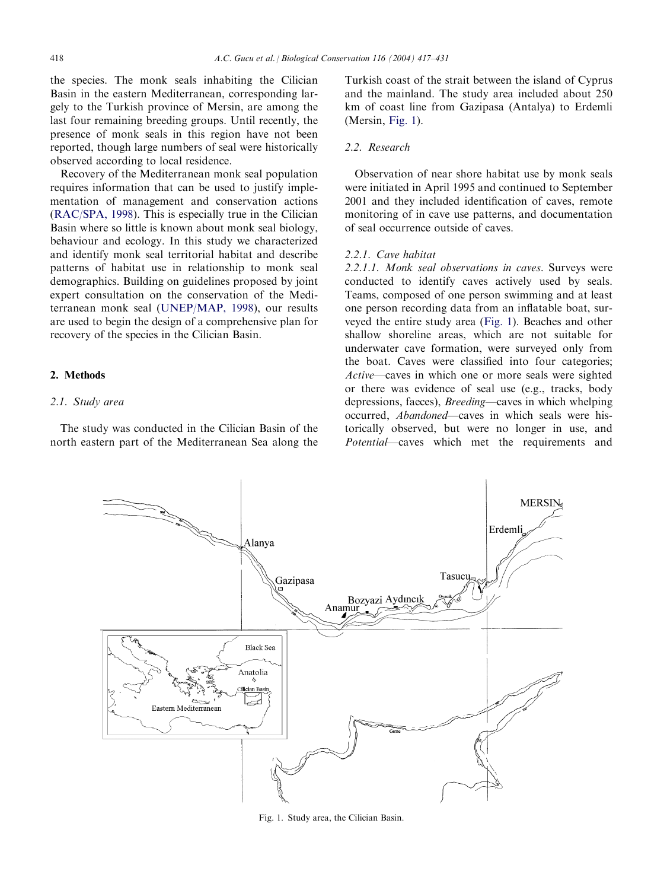<span id="page-1-0"></span>the species. The monk seals inhabiting the Cilician Basin in the eastern Mediterranean, corresponding largely to the Turkish province of Mersin,are among the last four remaining breeding groups. Until recently, the presence of monk seals in this region have not been reported, though large numbers of seal were historically observed according to local residence.

Recovery of the Mediterranean monk seal population requires information that can be used to justify implementation of management and conservation actions [\(RAC/SPA,1998](#page-14-0)). This is especially true in the Cilician Basin where so little is known about monk seal biology, behaviour and ecology. In this study we characterized and identify monk seal territorial habitat and describe patterns of habitat use in relationship to monk seal demographics. Building on guidelines proposed by joint expert consultation on the conservation of the Mediterranean monk seal (UNEP/MAP, 1998), our results are used to begin the design of a comprehensive plan for recovery of the species in the Cilician Basin.

## 2. Methods

## 2.1. Study area

The study was conducted in the Cilician Basin of the north eastern part of the Mediterranean Sea along the Turkish coast of the strait between the island of Cyprus and the mainland. The study area included about 250 km of coast line from Gazipasa (Antalya) to Erdemli (Mersin, Fig. 1).

# 2.2. Research

Observation of near shore habitat use by monk seals were initiated in April 1995 and continued to September 2001 and they included identification of caves, remote monitoring of in cave use patterns, and documentation of seal occurrence outside of caves.

#### 2.2.1. Cave habitat

2.2.1.1. Monk seal observations in caves. Surveys were conducted to identify caves actively used by seals. Teams, composed of one person swimming and at least one person recording data from an inflatable boat, surveyed the entire study area (Fig. 1). Beaches and other shallow shoreline areas, which are not suitable for underwater cave formation, were surveyed only from the boat. Caves were classified into four categories; Active—caves in which one or more seals were sighted or there was evidence of seal use (e.g., tracks, body depressions, faeces), *Breeding*—caves in which whelping occurred, Abandoned—caves in which seals were historically observed, but were no longer in use, and Potential—caves which met the requirements and



Fig. 1. Study area, the Cilician Basin.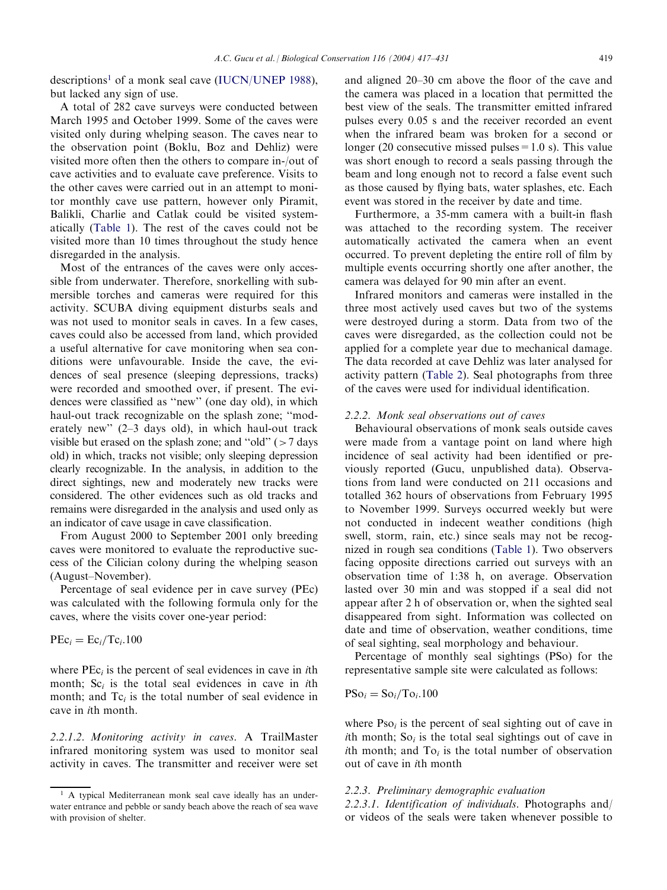descriptions<sup>1</sup> of a monk seal cave ([IUCN/UNEP 1988\)](#page-13-0), but lacked any sign of use.

A total of 282 cave surveys were conducted between March 1995 and October 1999. Some of the caves were visited only during whelping season. The caves near to the observation point (Boklu, Boz and Dehliz) were visited more often then the others to compare in-/out of cave activities and to evaluate cave preference. Visits to the other caves were carried out in an attempt to monitor monthly cave use pattern, however only Piramit, Balikli, Charlie and Catlak could be visited systematically [\(Table 1](#page-3-0)). The rest of the caves could not be visited more than 10 times throughout the study hence disregarded in the analysis.

Most of the entrances of the caves were only accessible from underwater. Therefore, snorkelling with submersible torches and cameras were required for this activity. SCUBA diving equipment disturbs seals and was not used to monitor seals in caves. In a few cases, caves could also be accessed from land, which provided a useful alternative for cave monitoring when sea conditions were unfavourable. Inside the cave, the evidences of seal presence (sleeping depressions, tracks) were recorded and smoothed over, if present. The evidences were classified as "new" (one day old), in which haul-out track recognizable on the splash zone; ''moderately new"  $(2-3$  days old), in which haul-out track visible but erased on the splash zone; and "old"  $($  > 7 days old) in which, tracks not visible; only sleeping depression clearly recognizable. In the analysis, in addition to the direct sightings, new and moderately new tracks were considered. The other evidences such as old tracks and remains were disregarded in the analysis and used only as an indicator of cave usage in cave classification.

From August 2000 to September 2001 only breeding caves were monitored to evaluate the reproductive success of the Cilician colony during the whelping season (August–November).

Percentage of seal evidence per in cave survey (PEc) was calculated with the following formula only for the caves, where the visits cover one-year period:

 $\text{PEc}_i = \text{Ec}_i/\text{Tc}_i.100$ 

where  $\text{PEc}_i$  is the percent of seal evidences in cave in *i*th month;  $Sc<sub>i</sub>$  is the total seal evidences in cave in *i*th month; and  $Tc_i$  is the total number of seal evidence in cave in ith month.

2.2.1.2. Monitoring activity in caves. A TrailMaster infrared monitoring system was used to monitor seal activity in caves. The transmitter and receiver were set

and aligned 20–30 cm above the floor of the cave and the camera was placed in a location that permitted the best view of the seals. The transmitter emitted infrared pulses every 0.05 s and the receiver recorded an event when the infrared beam was broken for a second or longer (20 consecutive missed pulses  $=1.0$  s). This value was short enough to record a seals passing through the beam and long enough not to record a false event such as those caused by flying bats, water splashes, etc. Each event was stored in the receiver by date and time.

Furthermore, a 35-mm camera with a built-in flash was attached to the recording system. The receiver automatically activated the camera when an event occurred. To prevent depleting the entire roll of film by multiple events occurring shortly one after another, the camera was delayed for 90 min after an event.

Infrared monitors and cameras were installed in the three most actively used caves but two of the systems were destroyed during a storm. Data from two of the caves were disregarded, as the collection could not be applied for a complete year due to mechanical damage. The data recorded at cave Dehliz was later analysed for activity pattern [\(Table 2](#page-3-0)). Seal photographs from three of the caves were used for individual identification.

#### 2.2.2. Monk seal observations out of caves

Behavioural observations of monk seals outside caves were made from a vantage point on land where high incidence of seal activity had been identified or previously reported (Gucu, unpublished data). Observations from land were conducted on 211 occasions and totalled 362 hours of observations from February 1995 to November 1999. Surveys occurred weekly but were not conducted in indecent weather conditions (high swell, storm, rain, etc.) since seals may not be recognized in rough sea conditions ([Table 1\)](#page-3-0). Two observers facing opposite directions carried out surveys with an observation time of 1:38 h, on average. Observation lasted over 30 min and was stopped if a seal did not appear after 2 h of observation or,when the sighted seal disappeared from sight. Information was collected on date and time of observation, weather conditions, time of seal sighting, seal morphology and behaviour.

Percentage of monthly seal sightings (PSo) for the representative sample site were calculated as follows:

 $PSo_i = So_i/To_i.100$ 

where  $Pos<sub>o</sub>$  is the percent of seal sighting out of cave in ith month; So<sub>i</sub> is the total seal sightings out of cave in ith month; and  $To<sub>i</sub>$  is the total number of observation out of cave in ith month

## 2.2.3. Preliminary demographic evaluation

2.2.3.1. Identification of individuals. Photographs and/ or videos of the seals were taken whenever possible to

<sup>&</sup>lt;sup>1</sup> A typical Mediterranean monk seal cave ideally has an underwater entrance and pebble or sandy beach above the reach of sea wave with provision of shelter.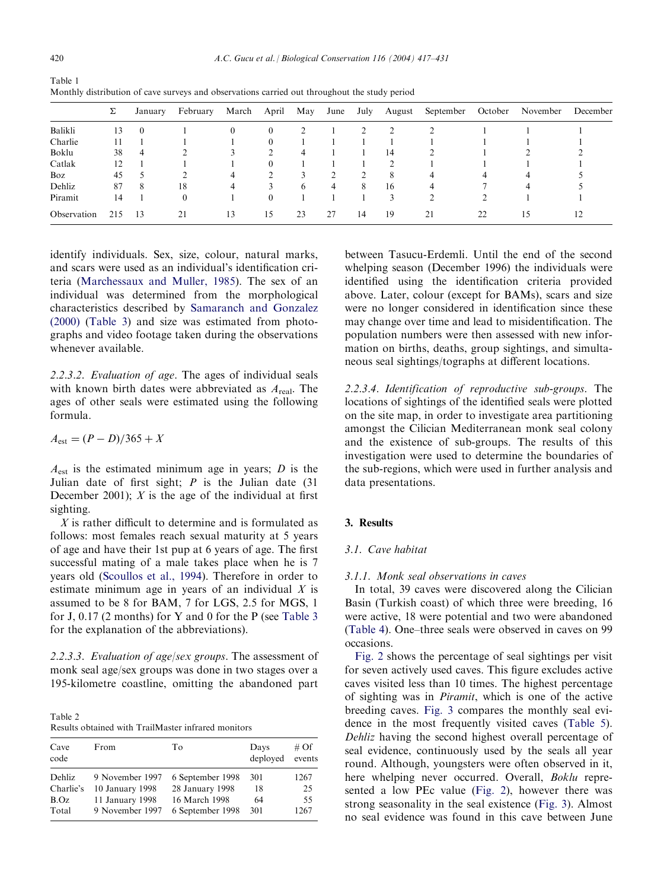| ---------- |    |         |          |             |          |     |      |      |        |                |   |                            |          |
|------------|----|---------|----------|-------------|----------|-----|------|------|--------|----------------|---|----------------------------|----------|
|            | Σ  | January | February | March April |          | May | June | July | August |                |   | September October November | December |
| Balikli    | 13 | 0       |          |             | $\theta$ |     |      |      |        |                |   |                            |          |
| Charlie    |    |         |          |             |          |     |      |      |        |                |   |                            |          |
| Boklu      | 38 | 4       |          |             |          | 4   |      |      | 14     |                |   |                            |          |
| Catlak     | 12 |         |          |             | $\theta$ |     |      |      |        |                |   |                            |          |
| Boz        | 45 |         |          | 4           |          |     |      |      | 8      | $\overline{4}$ | 4 |                            |          |
| Dehliz     | 87 | 8       | 18       | 4           |          | 6   | 4    | 8    | 16     | 4              |   |                            |          |
| Piramit    | 14 |         | 0        |             | $_{0}$   |     |      |      |        |                |   |                            |          |

Observation 215 13 21 13 15 23 27 14 19 21 22 15 12

<span id="page-3-0"></span>Table 1 Monthly distribution of cave surveys and observations carried out throughout the study period

identify individuals. Sex, size, colour, natural marks, and scars were used as an individual's identification criteria [\(Marchessaux and Muller,1985](#page-13-0)). The sex of an individual was determined from the morphological characteristics described by [Samaranch and Gonzalez](#page-14-0) [\(2000\)](#page-14-0) ([Table 3\)](#page-4-0) and size was estimated from photographs and video footage taken during the observations whenever available.

2.2.3.2. Evaluation of age. The ages of individual seals with known birth dates were abbreviated as  $A_{\text{real}}$ . The ages of other seals were estimated using the following formula.

 $A_{\text{est}} = (P - D)/365 + X$ 

 $A_{est}$  is the estimated minimum age in years; D is the Julian date of first sight;  $P$  is the Julian date (31) December 2001);  $X$  is the age of the individual at first sighting.

X is rather difficult to determine and is formulated as follows: most females reach sexual maturity at 5 years of age and have their 1st pup at 6 years of age. The first successful mating of a male takes place when he is 7 years old ([Scoullos et al.,1994](#page-14-0)). Therefore in order to estimate minimum age in years of an individual  $X$  is assumed to be 8 for BAM, 7 for LGS, 2.5 for MGS, 1 for J,0.17 (2 months) for Y and 0 for the P (see [Table 3](#page-4-0) for the explanation of the abbreviations).

2.2.3.3. Evaluation of age/sex groups. The assessment of monk seal age/sex groups was done in two stages over a 195-kilometre coastline, omitting the abandoned part

Table 2 Results obtained with TrailMaster infrared monitors

| Cave<br>code  | From            | Тo               | Days<br>deployed | # Of<br>events |
|---------------|-----------------|------------------|------------------|----------------|
| <b>Dehliz</b> | 9 November 1997 | 6 September 1998 | 301              | 1267           |
| Charlie's     | 10 January 1998 | 28 January 1998  | 18               | 25             |
| B.Oz          | 11 January 1998 | 16 March 1998    | 64               | 55             |
| Total         | 9 November 1997 | 6 September 1998 | 301              | 1267           |

between Tasucu-Erdemli. Until the end of the second whelping season (December 1996) the individuals were identified using the identification criteria provided above. Later, colour (except for BAMs), scars and size were no longer considered in identification since these may change over time and lead to misidentification. The population numbers were then assessed with new information on births, deaths, group sightings, and simultaneous seal sightings/tographs at different locations.

2.2.3.4. Identification of reproductive sub-groups. The locations of sightings of the identified seals were plotted on the site map, in order to investigate area partitioning amongst the Cilician Mediterranean monk seal colony and the existence of sub-groups. The results of this investigation were used to determine the boundaries of the sub-regions, which were used in further analysis and data presentations.

# 3. Results

## 3.1. Cave habitat

## 3.1.1. Monk seal observations in caves

In total,39 caves were discovered along the Cilician Basin (Turkish coast) of which three were breeding,16 were active,18 were potential and two were abandoned [\(Table 4](#page-4-0)). One–three seals were observed in caves on 99 occasions.

[Fig. 2](#page-4-0) shows the percentage of seal sightings per visit for seven actively used caves. This figure excludes active caves visited less than 10 times. The highest percentage of sighting was in *Piramit*, which is one of the active breeding caves. [Fig. 3](#page-5-0) compares the monthly seal evidence in the most frequently visited caves ([Table 5\)](#page-5-0). Dehliz having the second highest overall percentage of seal evidence, continuously used by the seals all year round. Although, youngsters were often observed in it, here whelping never occurred. Overall, Boklu repre-sented a low PEc value ([Fig. 2\)](#page-4-0), however there was strong seasonality in the seal existence ([Fig. 3](#page-5-0)). Almost no seal evidence was found in this cave between June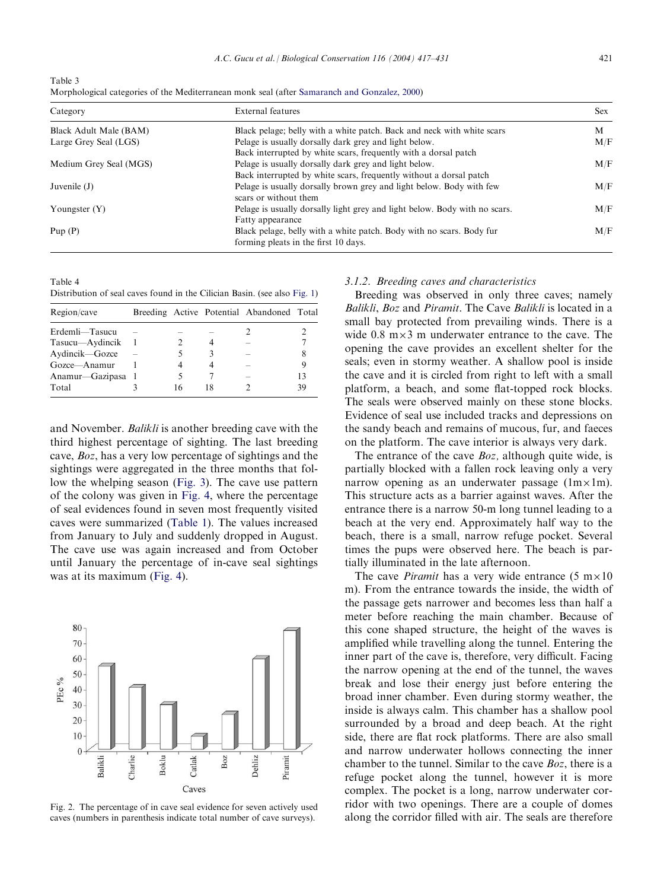<span id="page-4-0"></span>Table 3

Morphological categories of the Mediterranean monk seal (after [Samaranch and Gonzalez,2000](#page-14-0))

| Category               | External features                                                                                                           | <b>Sex</b> |
|------------------------|-----------------------------------------------------------------------------------------------------------------------------|------------|
| Black Adult Male (BAM) | Black pelage; belly with a white patch. Back and neck with white scars                                                      | M          |
| Large Grey Seal (LGS)  | Pelage is usually dorsally dark grey and light below.<br>Back interrupted by white scars, frequently with a dorsal patch    | M/F        |
| Medium Grey Seal (MGS) | Pelage is usually dorsally dark grey and light below.<br>Back interrupted by white scars, frequently without a dorsal patch | M/F        |
| Juvenile $(J)$         | Pelage is usually dorsally brown grey and light below. Body with few<br>scars or without them                               | M/F        |
| Youngster $(Y)$        | Pelage is usually dorsally light grey and light below. Body with no scars.<br>Fatty appearance                              | M/F        |
| Pup $(P)$              | Black pelage, belly with a white patch. Body with no scars. Body fur<br>forming pleats in the first 10 days.                | M/F        |

Table 4 Distribution of seal caves found in the Cilician Basin. (see also [Fig. 1](#page-1-0))

| Region/cave       |    |    | Breeding Active Potential Abandoned Total |    |
|-------------------|----|----|-------------------------------------------|----|
| Erdemli—Tasucu    |    |    |                                           |    |
| Tasucu—Aydincik   |    |    |                                           |    |
| Aydincik-Gozce    |    |    |                                           |    |
| Gozce-Anamur      |    |    |                                           |    |
| Anamur—Gazipasa 1 |    |    |                                           | 13 |
| Total             | ۱6 | 18 |                                           | 39 |
|                   |    |    |                                           |    |

and November. Balikli is another breeding cave with the third highest percentage of sighting. The last breeding cave, Boz, has a very low percentage of sightings and the sightings were aggregated in the three months that follow the whelping season ([Fig. 3\)](#page-5-0). The cave use pattern of the colony was given in [Fig. 4](#page-5-0),where the percentage of seal evidences found in seven most frequently visited caves were summarized [\(Table 1](#page-3-0)). The values increased from January to July and suddenly dropped in August. The cave use was again increased and from October until January the percentage of in-cave seal sightings was at its maximum [\(Fig. 4](#page-5-0)).



Fig. 2. The percentage of in cave seal evidence for seven actively used caves (numbers in parenthesis indicate total number of cave surveys).

# 3.1.2. Breeding caves and characteristics

Breeding was observed in only three caves; namely Balikli, Boz and Piramit. The Cave Balikli is located in a small bay protected from prevailing winds. There is a wide  $0.8 \text{ m} \times 3 \text{ m}$  underwater entrance to the cave. The opening the cave provides an excellent shelter for the seals; even in stormy weather. A shallow pool is inside the cave and it is circled from right to left with a small platform, a beach, and some flat-topped rock blocks. The seals were observed mainly on these stone blocks. Evidence of seal use included tracks and depressions on the sandy beach and remains of mucous, fur, and faeces on the platform. The cave interior is always very dark.

The entrance of the cave  $Boz$ , although quite wide, is partially blocked with a fallen rock leaving only a very narrow opening as an underwater passage  $(1m \times 1m)$ . This structure acts as a barrier against waves. After the entrance there is a narrow 50-m long tunnel leading to a beach at the very end. Approximately half way to the beach, there is a small, narrow refuge pocket. Several times the pups were observed here. The beach is partially illuminated in the late afternoon.

The cave *Piramit* has a very wide entrance  $(5 \text{ m} \times 10)$ m). From the entrance towards the inside, the width of the passage gets narrower and becomes less than half a meter before reaching the main chamber. Because of this cone shaped structure, the height of the waves is amplified while travelling along the tunnel. Entering the inner part of the cave is, therefore, very difficult. Facing the narrow opening at the end of the tunnel, the waves break and lose their energy just before entering the broad inner chamber. Even during stormy weather, the inside is always calm. This chamber has a shallow pool surrounded by a broad and deep beach. At the right side, there are flat rock platforms. There are also small and narrow underwater hollows connecting the inner chamber to the tunnel. Similar to the cave  $Boz$ , there is a refuge pocket along the tunnel, however it is more complex. The pocket is a long, narrow underwater corridor with two openings. There are a couple of domes along the corridor filled with air. The seals are therefore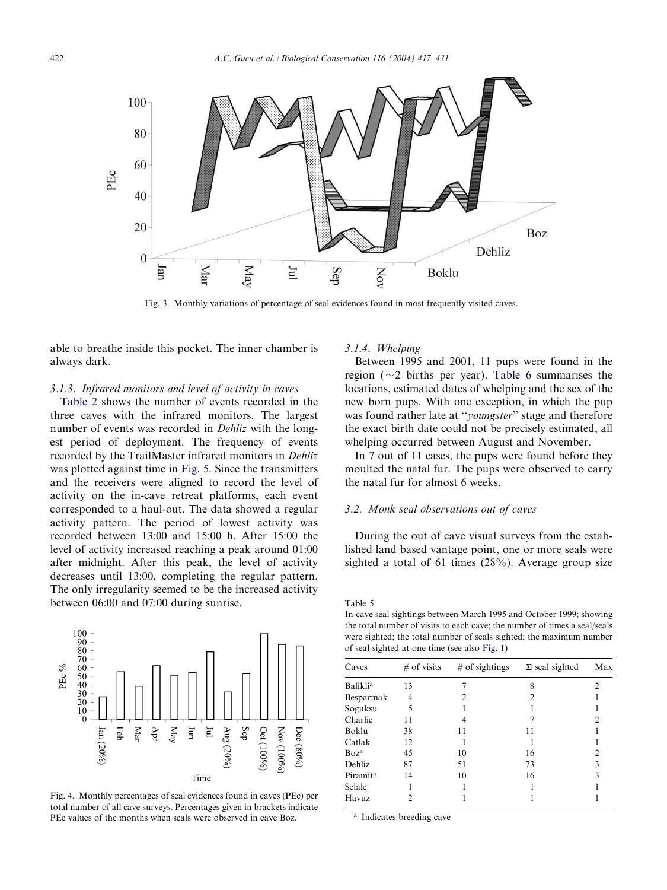<span id="page-5-0"></span>

Fig. 3. Monthly variations of percentage of seal evidences found in most frequently visited caves.

able to breathe inside this pocket. The inner chamber is always dark.

## 3.1.3. Infrared monitors and level of activity in caves

[Table 2](#page-3-0) shows the number of events recorded in the three caves with the infrared monitors. The largest number of events was recorded in Dehliz with the longest period of deployment. The frequency of events recorded by the TrailMaster infrared monitors in Dehliz was plotted against time in [Fig. 5](#page-6-0). Since the transmitters and the receivers were aligned to record the level of activity on the in-cave retreat platforms, each event corresponded to a haul-out. The data showed a regular activity pattern. The period of lowest activity was recorded between 13:00 and 15:00 h. After 15:00 the level of activity increased reaching a peak around 01:00 after midnight. After this peak, the level of activity decreases until 13:00, completing the regular pattern. The only irregularity seemed to be the increased activity between 06:00 and 07:00 during sunrise.



Fig. 4. Monthly percentages of seal evidences found in caves (PEc) per total number of all cave surveys. Percentages given in brackets indicate PEc values of the months when seals were observed in cave Boz.

## 3.1.4. Whelping

Between 1995 and 2001, 11 pups were found in the region ( $\sim$ 2 births per year). [Table 6](#page-6-0) summarises the locations, estimated dates of whelping and the sex of the new born pups. With one exception, in which the pup was found rather late at "*youngster*" stage and therefore the exact birth date could not be precisely estimated, all whelping occurred between August and November.

In 7 out of 11 cases, the pups were found before they moulted the natal fur. The pups were observed to carry the natal fur for almost 6 weeks.

#### 3.2. Monk seal observations out of caves

During the out of cave visual surveys from the established land based vantage point, one or more seals were sighted a total of 61 times (28%). Average group size

Table 5

In-cave seal sightings between March 1995 and October 1999; showing the total number of visits to each cave; the number of times a seal/seals were sighted; the total number of seals sighted; the maximum number of seal sighted at one time (see also [Fig. 1\)](#page-1-0)

| Caves                | $\#$ of visits | $\#$ of sightings | $\Sigma$ seal sighted | Max            |
|----------------------|----------------|-------------------|-----------------------|----------------|
| Balikli <sup>a</sup> | 13             |                   | 8                     | 2              |
| Besparmak            | 4              |                   | $\mathfrak{D}$        |                |
| Soguksu              | 5              |                   |                       |                |
| Charlie              | 11             |                   |                       |                |
| Boklu                | 38             | 11                | 11                    |                |
| Catlak               | 12             |                   |                       |                |
| Boz <sup>a</sup>     | 45             | 10                | 16                    | $\overline{c}$ |
| Dehliz               | 87             | 51                | 73                    | 3              |
| Piramit <sup>a</sup> | 14             | 10                | 16                    | 3              |
| Selale               |                |                   |                       |                |
| Havuz                |                |                   |                       |                |

<sup>a</sup> Indicates breeding cave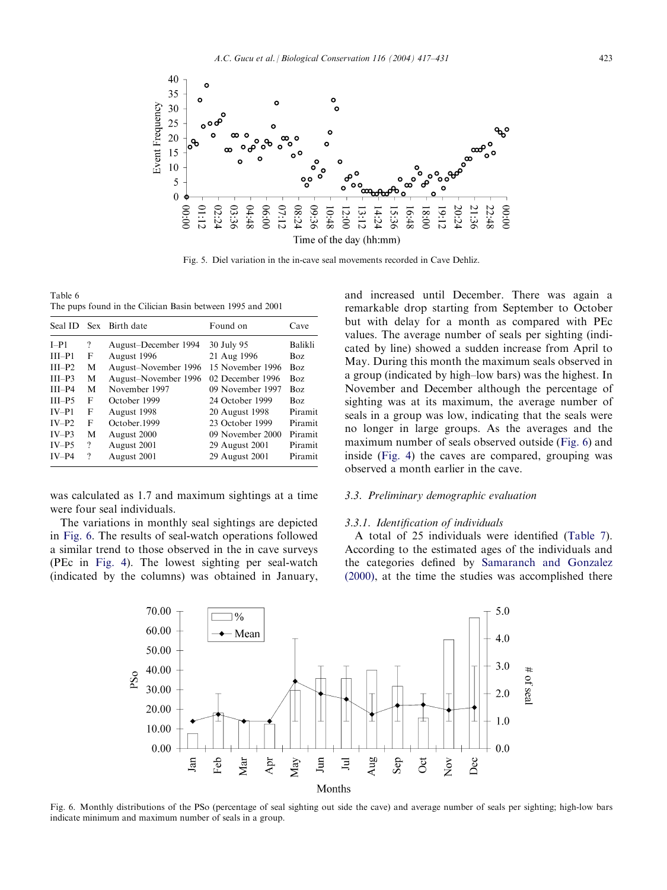<span id="page-6-0"></span>

Fig. 5. Diel variation in the in-cave seal movements recorded in Cave Dehliz.

Table 6 The pups found in the Cilician Basin between 1995 and 2001

| Seal ID  | Sex. | <b>Birth</b> date    | Found on         | Cave    |
|----------|------|----------------------|------------------|---------|
| $I-P1$   | ?    | August-December 1994 | 30 July 95       | Balikli |
| $III-P1$ | F    | August 1996          | 21 Aug 1996      | Boz     |
| $III-P2$ | M    | August-November 1996 | 15 November 1996 | Boz     |
| $III-P3$ | M    | August-November 1996 | 02 December 1996 | Boz     |
| $III-P4$ | M    | November 1997        | 09 November 1997 | Boz     |
| $III-P5$ | F    | October 1999         | 24 October 1999  | Boz     |
| $IV-P1$  | F    | August 1998          | 20 August 1998   | Piramit |
| $IV-P2$  | F    | October.1999         | 23 October 1999  | Piramit |
| $IV-P3$  | M    | August 2000          | 09 November 2000 | Piramit |
| $IV-P5$  | ?    | August 2001          | 29 August 2001   | Piramit |
| $IV-P4$  | ?    | August 2001          | 29 August 2001   | Piramit |

was calculated as 1.7 and maximum sightings at a time were four seal individuals.

The variations in monthly seal sightings are depicted in Fig. 6. The results of seal-watch operations followed a similar trend to those observed in the in cave surveys (PEc in [Fig. 4](#page-5-0)). The lowest sighting per seal-watch (indicated by the columns) was obtained in January,

and increased until December. There was again a remarkable drop starting from September to October but with delay for a month as compared with PEc values. The average number of seals per sighting (indicated by line) showed a sudden increase from April to May. During this month the maximum seals observed in a group (indicated by high–low bars) was the highest. In November and December although the percentage of sighting was at its maximum, the average number of seals in a group was low, indicating that the seals were no longer in large groups. As the averages and the maximum number of seals observed outside (Fig. 6) and inside [\(Fig. 4](#page-5-0)) the caves are compared, grouping was observed a month earlier in the cave.

## 3.3. Preliminary demographic evaluation

#### 3.3.1. Identification of individuals

A total of 25 individuals were identified ([Table 7\)](#page-7-0). According to the estimated ages of the individuals and the categories defined by [Samaranch and Gonzalez](#page-14-0) [\(2000\)](#page-14-0), at the time the studies was accomplished there



Fig. 6. Monthly distributions of the PSo (percentage of seal sighting out side the cave) and average number of seals per sighting; high-low bars indicate minimum and maximum number of seals in a group.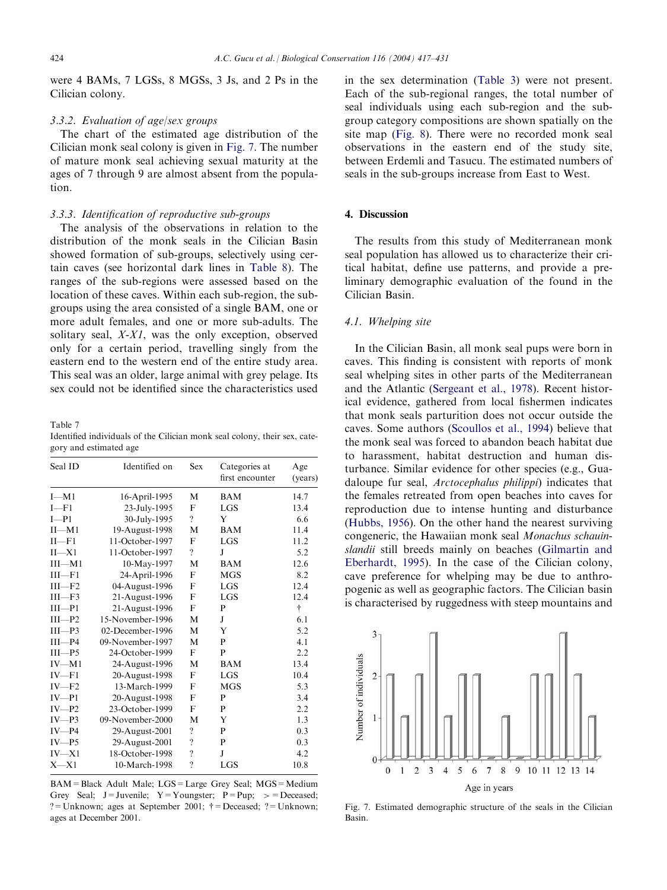<span id="page-7-0"></span>were 4 BAMs, 7 LGSs, 8 MGSs, 3 Js, and 2 Ps in the Cilician colony.

#### 3.3.2. Evaluation of age/sex groups

The chart of the estimated age distribution of the Cilician monk seal colony is given in Fig. 7. The number of mature monk seal achieving sexual maturity at the ages of 7 through 9 are almost absent from the population.

#### 3.3.3. Identification of reproductive sub-groups

The analysis of the observations in relation to the distribution of the monk seals in the Cilician Basin showed formation of sub-groups, selectively using certain caves (see horizontal dark lines in [Table 8\)](#page-8-0). The ranges of the sub-regions were assessed based on the location of these caves. Within each sub-region, the subgroups using the area consisted of a single BAM, one or more adult females, and one or more sub-adults. The solitary seal,  $X - XI$ , was the only exception, observed only for a certain period, travelling singly from the eastern end to the western end of the entire study area. This seal was an older, large animal with grey pelage. Its sex could not be identified since the characteristics used

Table 7

Identified individuals of the Cilician monk seal colony, their sex, category and estimated age

| Seal ID    | Identified on    | <b>Sex</b>               | Categories at<br>first encounter | Age<br>(years) |
|------------|------------------|--------------------------|----------------------------------|----------------|
| $I-M1$     | 16-April-1995    | М                        | <b>BAM</b>                       | 14.7           |
| $I - F1$   | 23-July-1995     | F                        | <b>LGS</b>                       | 13.4           |
| $I-P1$     | 30-July-1995     | $\overline{\cdot}$       | Y                                | 6.6            |
| $II-M1$    | 19-August-1998   | M                        | <b>BAM</b>                       | 11.4           |
| $II-F1$    | 11-October-1997  | $\mathbf{F}$             | <b>LGS</b>                       | 11.2           |
| $II - X1$  | 11-October-1997  | $\overline{\mathcal{L}}$ | J                                | 5.2            |
| $III-M1$   | 10-May-1997      | М                        | <b>BAM</b>                       | 12.6           |
| $III - F1$ | 24-April-1996    | $\mathbf{F}$             | <b>MGS</b>                       | 8.2            |
| $III - F2$ | 04-August-1996   | F                        | LGS                              | 12.4           |
| $III - F3$ | 21-August-1996   | F                        | <b>LGS</b>                       | 12.4           |
| $III - P1$ | 21-August-1996   | $\mathbf{F}$             | P                                | t              |
| $III - P2$ | 15-November-1996 | M                        | J                                | 6.1            |
| III—P3     | 02-December-1996 | M                        | Y                                | 5.2            |
| $III - P4$ | 09-November-1997 | M                        | P                                | 4.1            |
| $III - P5$ | 24-October-1999  | $\mathbf{F}$             | P                                | 2.2            |
| $IV-M1$    | 24-August-1996   | М                        | <b>BAM</b>                       | 13.4           |
| $IV - F1$  | 20-August-1998   | $\mathbf{F}$             | LGS                              | 10.4           |
| $IV - F2$  | 13-March-1999    | F                        | <b>MGS</b>                       | 5.3            |
| $IV-P1$    | 20-August-1998   | F                        | P                                | 3.4            |
| $IV-P2$    | 23-October-1999  | F                        | P                                | 2.2            |
| $IV-P3$    | 09-November-2000 | M                        | Y                                | 1.3            |
| $IV-P4$    | 29-August-2001   | ?                        | P                                | 0.3            |
| $IV-P5$    | 29-August-2001   | $\overline{?}$           | P                                | 0.3            |
| $IV - X1$  | 18-October-1998  | $\overline{\mathcal{L}}$ | J                                | 4.2            |
| $X - X1$   | 10-March-1998    | $\overline{\mathcal{L}}$ | LGS                              | 10.8           |

BAM=Black Adult Male; LGS=Large Grey Seal; MGS=Medium Grey Seal; J = Juvenile;  $Y = Youngster$ ;  $P = Pup$ ;  $>$  = Deceased; ?=Unknown; ages at September 2001;  $\dagger$ =Deceased; ?=Unknown; ages at December 2001.

in the sex determination [\(Table 3\)](#page-4-0) were not present. Each of the sub-regional ranges, the total number of seal individuals using each sub-region and the subgroup category compositions are shown spatially on the site map [\(Fig. 8\)](#page-9-0). There were no recorded monk seal observations in the eastern end of the study site, between Erdemli and Tasucu. The estimated numbers of seals in the sub-groups increase from East to West.

## 4. Discussion

The results from this study of Mediterranean monk seal population has allowed us to characterize their critical habitat, define use patterns, and provide a preliminary demographic evaluation of the found in the Cilician Basin.

# 4.1. Whelping site

In the Cilician Basin, all monk seal pups were born in caves. This finding is consistent with reports of monk seal whelping sites in other parts of the Mediterranean and the Atlantic [\(Sergeant et al.,1978\)](#page-14-0). Recent historical evidence, gathered from local fishermen indicates that monk seals parturition does not occur outside the caves. Some authors [\(Scoullos et al.,1994](#page-14-0)) believe that the monk seal was forced to abandon beach habitat due to harassment, habitat destruction and human disturbance. Similar evidence for other species (e.g., Guadaloupe fur seal, Arctocephalus philippi) indicates that the females retreated from open beaches into caves for reproduction due to intense hunting and disturbance [\(Hubbs,1956\)](#page-13-0). On the other hand the nearest surviving congeneric, the Hawaiian monk seal Monachus schauinslandii still breeds mainly on beaches ([Gilmartin and](#page-13-0) [Eberhardt,1995](#page-13-0)). In the case of the Cilician colony, cave preference for whelping may be due to anthropogenic as well as geographic factors. The Cilician basin is characterised by ruggedness with steep mountains and



Fig. 7. Estimated demographic structure of the seals in the Cilician Basin.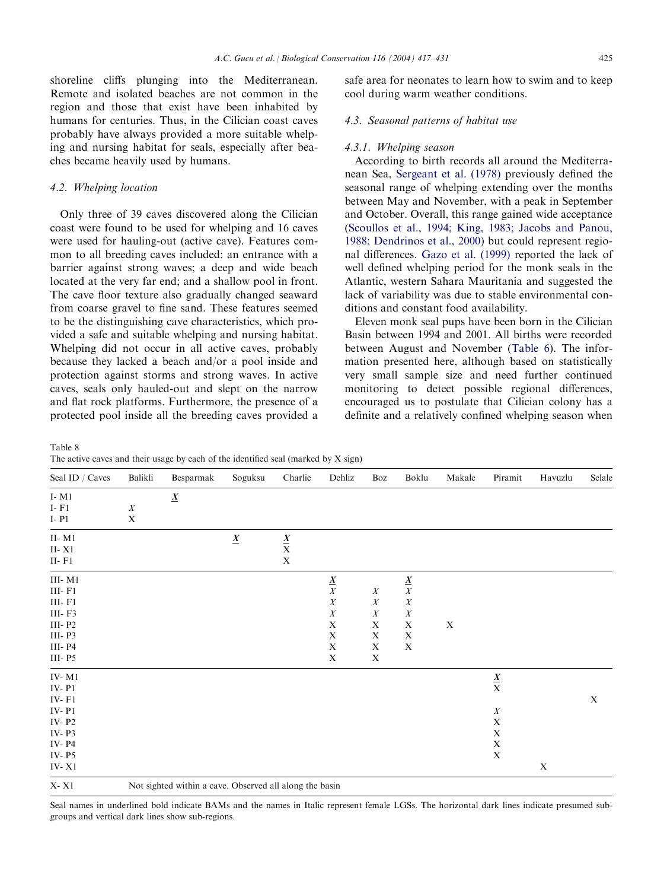<span id="page-8-0"></span>shoreline cliffs plunging into the Mediterranean. Remote and isolated beaches are not common in the region and those that exist have been inhabited by humans for centuries. Thus, in the Cilician coast caves probably have always provided a more suitable whelping and nursing habitat for seals, especially after beaches became heavily used by humans.

#### 4.2. Whelping location

Only three of 39 caves discovered along the Cilician coast were found to be used for whelping and 16 caves were used for hauling-out (active cave). Features common to all breeding caves included: an entrance with a barrier against strong waves; a deep and wide beach located at the very far end; and a shallow pool in front. The cave floor texture also gradually changed seaward from coarse gravel to fine sand. These features seemed to be the distinguishing cave characteristics, which provided a safe and suitable whelping and nursing habitat. Whelping did not occur in all active caves, probably because they lacked a beach and/or a pool inside and protection against storms and strong waves. In active caves, seals only hauled-out and slept on the narrow and flat rock platforms. Furthermore, the presence of a protected pool inside all the breeding caves provided a

Table 8 The active caves and their usage by each of the identified seal (marked by  $X$  sign)

Seal ID / Caves Balikli Besparmak Soguksu Charlie Dehliz Boz Boklu Makale Piramit Havuzlu Selale I- M1  $X$  X  $I - F1$ I- P1 X II-M1  $\frac{X}{X}$  X  $II - X1$  X II- F1  $X$ III-M1  $\overline{X}$   $\overline{X}$ III- F1  $X$   $X$   $X$ III- F1  $X$   $X$   $X$ III- F3  $X$  X X X III- P2  $X \times X \times X$ III- P3  $X \t X \t X$ III- P4  $X \t X \t X$ III- P5  $X \t X$ IV-M1  $\boldsymbol{X}$ IV- P1  $X$ IV- F1 X IV- P1  $X$ IV- P2  $\mathbf{X}$ IV- P3  $X$ IV- P4  $\lambda$ IV- P5  $\chi$ IV-X1  $X$ X- X1 Not sighted within a cave. Observed all along the basin

safe area for neonates to learn how to swim and to keep cool during warm weather conditions.

## 4.3. Seasonal patterns of habitat use

#### 4.3.1. Whelping season

According to birth records all around the Mediterranean Sea, [Sergeant et al. \(1978\)](#page-14-0) previously defined the seasonal range of whelping extending over the months between May and November, with a peak in September and October. Overall, this range gained wide acceptance [\(Scoullos et al.,1994; King,1983; Jacobs and Panou,](#page-14-0) [1988; Dendrinos et al.,2000](#page-14-0)) but could represent regional differences. [Gazo et al. \(1999\)](#page-13-0) reported the lack of well defined whelping period for the monk seals in the Atlantic, western Sahara Mauritania and suggested the lack of variability was due to stable environmental conditions and constant food availability.

Eleven monk seal pups have been born in the Cilician Basin between 1994 and 2001. All births were recorded between August and November ([Table 6\)](#page-6-0). The information presented here, although based on statistically very small sample size and need further continued monitoring to detect possible regional differences, encouraged us to postulate that Cilician colony has a definite and a relatively confined whelping season when

Seal names in underlined bold indicate BAMs and the names in Italic represent female LGSs. The horizontal dark lines indicate presumed subgroups and vertical dark lines show sub-regions.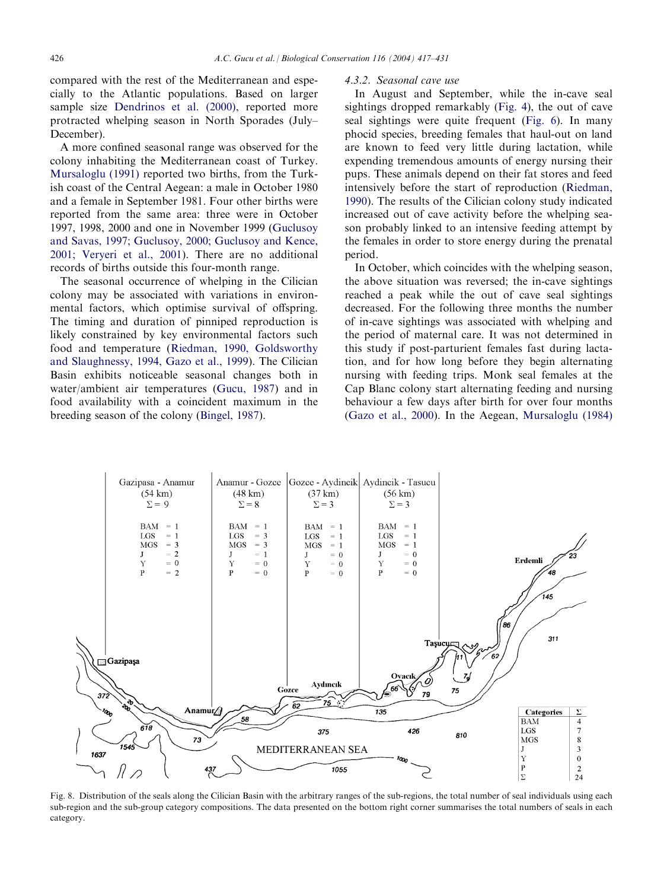<span id="page-9-0"></span>compared with the rest of the Mediterranean and especially to the Atlantic populations. Based on larger sample size [Dendrinos et al. \(2000\),](#page-13-0) reported more protracted whelping season in North Sporades (July– December).

A more confined seasonal range was observed for the colony inhabiting the Mediterranean coast of Turkey. [Mursaloglu \(1991\)](#page-14-0) reported two births, from the Turkish coast of the Central Aegean: a male in October 1980 and a female in September 1981. Four other births were reported from the same area: three were in October 1997,1998,2000 and one in November 1999 [\(Guclusoy](#page-13-0) [and Savas,1997; Guclusoy,2000; Guclusoy and Kence,](#page-13-0) [2001; Veryeri et al.,2001\)](#page-13-0). There are no additional records of births outside this four-month range.

The seasonal occurrence of whelping in the Cilician colony may be associated with variations in environmental factors, which optimise survival of offspring. The timing and duration of pinniped reproduction is likely constrained by key environmental factors such food and temperature (Riedman, 1990, Goldsworthy [and Slaughnessy,1994,Gazo et al.,1999\)](#page-14-0). The Cilician Basin exhibits noticeable seasonal changes both in water/ambient air temperatures (Gucu, 1987) and in food availability with a coincident maximum in the breeding season of the colony ([Bingel,1987](#page-13-0)).

#### 4.3.2. Seasonal cave use

In August and September, while the in-cave seal sightings dropped remarkably  $(Fig. 4)$  $(Fig. 4)$ , the out of cave seal sightings were quite frequent [\(Fig. 6\)](#page-6-0). In many phocid species, breeding females that haul-out on land are known to feed very little during lactation, while expending tremendous amounts of energy nursing their pups. These animals depend on their fat stores and feed intensively before the start of reproduction [\(Riedman,](#page-14-0) [1990\)](#page-14-0). The results of the Cilician colony study indicated increased out of cave activity before the whelping season probably linked to an intensive feeding attempt by the females in order to store energy during the prenatal period.

In October, which coincides with the whelping season, the above situation was reversed; the in-cave sightings reached a peak while the out of cave seal sightings decreased. For the following three months the number of in-cave sightings was associated with whelping and the period of maternal care. It was not determined in this study if post-parturient females fast during lactation,and for how long before they begin alternating nursing with feeding trips. Monk seal females at the Cap Blanc colony start alternating feeding and nursing behaviour a few days after birth for over four months [\(Gazo et al.,2000](#page-13-0)). In the Aegean, [Mursaloglu \(1984\)](#page-13-0)



Fig. 8. Distribution of the seals along the Cilician Basin with the arbitrary ranges of the sub-regions, the total number of seal individuals using each sub-region and the sub-group category compositions. The data presented on the bottom right corner summarises the total numbers of seals in each category.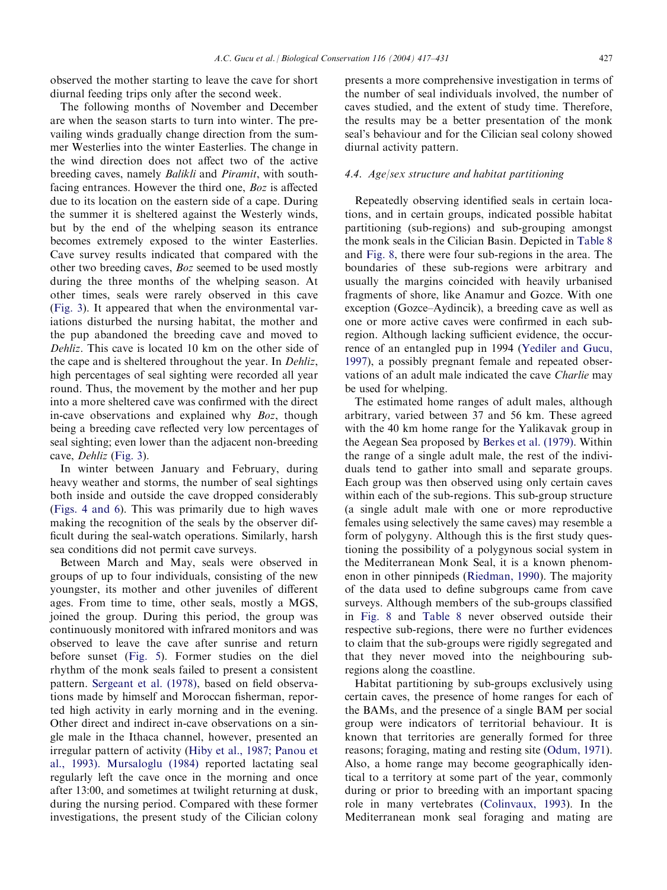observed the mother starting to leave the cave for short diurnal feeding trips only after the second week.

The following months of November and December are when the season starts to turn into winter. The prevailing winds gradually change direction from the summer Westerlies into the winter Easterlies. The change in the wind direction does not affect two of the active breeding caves, namely Balikli and Piramit, with southfacing entrances. However the third one, Boz is affected due to its location on the eastern side of a cape. During the summer it is sheltered against the Westerly winds, but by the end of the whelping season its entrance becomes extremely exposed to the winter Easterlies. Cave survey results indicated that compared with the other two breeding caves, Boz seemed to be used mostly during the three months of the whelping season. At other times, seals were rarely observed in this cave [\(Fig. 3\)](#page-5-0). It appeared that when the environmental variations disturbed the nursing habitat, the mother and the pup abandoned the breeding cave and moved to Dehliz. This cave is located 10 km on the other side of the cape and is sheltered throughout the year. In Dehliz, high percentages of seal sighting were recorded all year round. Thus, the movement by the mother and her pup into a more sheltered cave was confirmed with the direct in-cave observations and explained why  $Boz$ , though being a breeding cave reflected very low percentages of seal sighting; even lower than the adjacent non-breeding cave, Dehliz [\(Fig. 3](#page-5-0)).

In winter between January and February, during heavy weather and storms, the number of seal sightings both inside and outside the cave dropped considerably [\(Figs. 4 and 6](#page-5-0)). This was primarily due to high waves making the recognition of the seals by the observer difficult during the seal-watch operations. Similarly, harsh sea conditions did not permit cave surveys.

Between March and May, seals were observed in groups of up to four individuals, consisting of the new youngster, its mother and other juveniles of different ages. From time to time, other seals, mostly a MGS, joined the group. During this period, the group was continuously monitored with infrared monitors and was observed to leave the cave after sunrise and return before sunset ([Fig. 5\)](#page-6-0). Former studies on the diel rhythm of the monk seals failed to present a consistent pattern. [Sergeant et al. \(1978\),](#page-14-0) based on field observations made by himself and Moroccan fisherman, reported high activity in early morning and in the evening. Other direct and indirect in-cave observations on a single male in the Ithaca channel, however, presented an irregular pattern of activity [\(Hiby et al.,1987; Panou et](#page-13-0) [al.,1993\). Mursaloglu \(1984\)](#page-13-0) reported lactating seal regularly left the cave once in the morning and once after 13:00, and sometimes at twilight returning at dusk, during the nursing period. Compared with these former investigations, the present study of the Cilician colony presents a more comprehensive investigation in terms of the number of seal individuals involved, the number of caves studied, and the extent of study time. Therefore, the results may be a better presentation of the monk seal's behaviour and for the Cilician seal colony showed diurnal activity pattern.

#### 4.4. Age/sex structure and habitat partitioning

Repeatedly observing identified seals in certain locations, and in certain groups, indicated possible habitat partitioning (sub-regions) and sub-grouping amongst the monk seals in the Cilician Basin. Depicted in [Table 8](#page-8-0) and [Fig. 8](#page-9-0), there were four sub-regions in the area. The boundaries of these sub-regions were arbitrary and usually the margins coincided with heavily urbanised fragments of shore, like Anamur and Gozce. With one exception (Gozce–Aydincik), a breeding cave as well as one or more active caves were confirmed in each subregion. Although lacking sufficient evidence, the occurrence of an entangled pup in 1994 ([Yediler and Gucu,](#page-14-0) [1997\)](#page-14-0), a possibly pregnant female and repeated observations of an adult male indicated the cave Charlie may be used for whelping.

The estimated home ranges of adult males, although arbitrary, varied between 37 and 56 km. These agreed with the 40 km home range for the Yalikavak group in the Aegean Sea proposed by Berkes et al. (1979). Within the range of a single adult male, the rest of the individuals tend to gather into small and separate groups. Each group was then observed using only certain caves within each of the sub-regions. This sub-group structure (a single adult male with one or more reproductive females using selectively the same caves) may resemble a form of polygyny. Although this is the first study questioning the possibility of a polygynous social system in the Mediterranean Monk Seal, it is a known phenomenon in other pinnipeds ([Riedman,1990\)](#page-14-0). The majority of the data used to define subgroups came from cave surveys. Although members of the sub-groups classified in [Fig. 8](#page-9-0) and [Table 8](#page-8-0) never observed outside their respective sub-regions, there were no further evidences to claim that the sub-groups were rigidly segregated and that they never moved into the neighbouring subregions along the coastline.

Habitat partitioning by sub-groups exclusively using certain caves, the presence of home ranges for each of the BAMs, and the presence of a single BAM per social group were indicators of territorial behaviour. It is known that territories are generally formed for three reasons; foraging, mating and resting site (Odum, 1971). Also, a home range may become geographically identical to a territory at some part of the year, commonly during or prior to breeding with an important spacing role in many vertebrates [\(Colinvaux,1993](#page-13-0)). In the Mediterranean monk seal foraging and mating are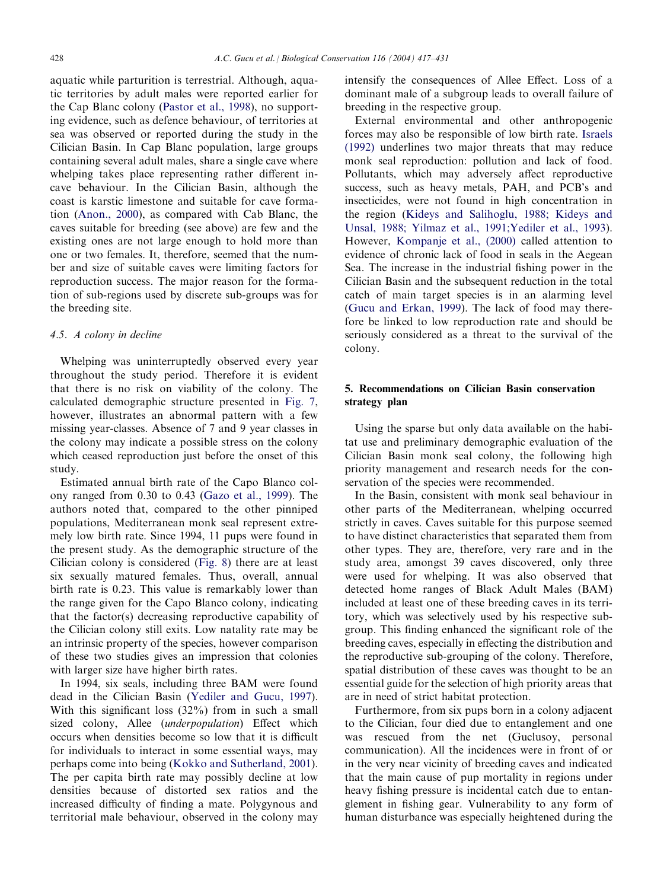aquatic while parturition is terrestrial. Although, aquatic territories by adult males were reported earlier for the Cap Blanc colony (Pastor et al., 1998), no supporting evidence, such as defence behaviour, of territories at sea was observed or reported during the study in the Cilician Basin. In Cap Blanc population, large groups containing several adult males, share a single cave where whelping takes place representing rather different incave behaviour. In the Cilician Basin, although the coast is karstic limestone and suitable for cave formation (Anon., 2000), as compared with Cab Blanc, the caves suitable for breeding (see above) are few and the existing ones are not large enough to hold more than one or two females. It, therefore, seemed that the number and size of suitable caves were limiting factors for reproduction success. The major reason for the formation of sub-regions used by discrete sub-groups was for the breeding site.

## 4.5. A colony in decline

Whelping was uninterruptedly observed every year throughout the study period. Therefore it is evident that there is no risk on viability of the colony. The calculated demographic structure presented in [Fig. 7](#page-7-0), however, illustrates an abnormal pattern with a few missing year-classes. Absence of 7 and 9 year classes in the colony may indicate a possible stress on the colony which ceased reproduction just before the onset of this study.

Estimated annual birth rate of the Capo Blanco colony ranged from 0.30 to 0.43 ([Gazo et al.,1999](#page-13-0)). The authors noted that, compared to the other pinniped populations, Mediterranean monk seal represent extremely low birth rate. Since 1994,11 pups were found in the present study. As the demographic structure of the Cilician colony is considered [\(Fig. 8](#page-9-0)) there are at least six sexually matured females. Thus, overall, annual birth rate is 0.23. This value is remarkably lower than the range given for the Capo Blanco colony, indicating that the factor(s) decreasing reproductive capability of the Cilician colony still exits. Low natality rate may be an intrinsic property of the species, however comparison of these two studies gives an impression that colonies with larger size have higher birth rates.

In 1994, six seals, including three BAM were found dead in the Cilician Basin [\(Yediler and Gucu,1997\)](#page-14-0). With this significant loss (32%) from in such a small sized colony, Allee (*underpopulation*) Effect which occurs when densities become so low that it is difficult for individuals to interact in some essential ways, may perhaps come into being ([Kokko and Sutherland,2001\)](#page-13-0). The per capita birth rate may possibly decline at low densities because of distorted sex ratios and the increased difficulty of finding a mate. Polygynous and territorial male behaviour, observed in the colony may intensify the consequences of Allee Effect. Loss of a dominant male of a subgroup leads to overall failure of breeding in the respective group.

External environmental and other anthropogenic forces may also be responsible of low birth rate. [Israels](#page-13-0) [\(1992\)](#page-13-0) underlines two major threats that may reduce monk seal reproduction: pollution and lack of food. Pollutants, which may adversely affect reproductive success, such as heavy metals, PAH, and PCB's and insecticides, were not found in high concentration in the region [\(Kideys and Salihoglu,1988; Kideys and](#page-13-0) [Unsal,1988; Yilmaz et al.,1991;Yediler et al.,1993\)](#page-13-0). However, [Kompanje et al.,\(2000\)](#page-13-0) called attention to evidence of chronic lack of food in seals in the Aegean Sea. The increase in the industrial fishing power in the Cilician Basin and the subsequent reduction in the total catch of main target species is in an alarming level [\(Gucu and Erkan,1999\)](#page-13-0). The lack of food may therefore be linked to low reproduction rate and should be seriously considered as a threat to the survival of the colony.

# 5. Recommendations on Cilician Basin conservation strategy plan

Using the sparse but only data available on the habitat use and preliminary demographic evaluation of the Cilician Basin monk seal colony, the following high priority management and research needs for the conservation of the species were recommended.

In the Basin, consistent with monk seal behaviour in other parts of the Mediterranean, whelping occurred strictly in caves. Caves suitable for this purpose seemed to have distinct characteristics that separated them from other types. They are, therefore, very rare and in the study area, amongst 39 caves discovered, only three were used for whelping. It was also observed that detected home ranges of Black Adult Males (BAM) included at least one of these breeding caves in its territory, which was selectively used by his respective subgroup. This finding enhanced the significant role of the breeding caves, especially in effecting the distribution and the reproductive sub-grouping of the colony. Therefore, spatial distribution of these caves was thought to be an essential guide for the selection of high priority areas that are in need of strict habitat protection.

Furthermore, from six pups born in a colony adjacent to the Cilician, four died due to entanglement and one was rescued from the net (Guclusoy, personal communication). All the incidences were in front of or in the very near vicinity of breeding caves and indicated that the main cause of pup mortality in regions under heavy fishing pressure is incidental catch due to entanglement in fishing gear. Vulnerability to any form of human disturbance was especially heightened during the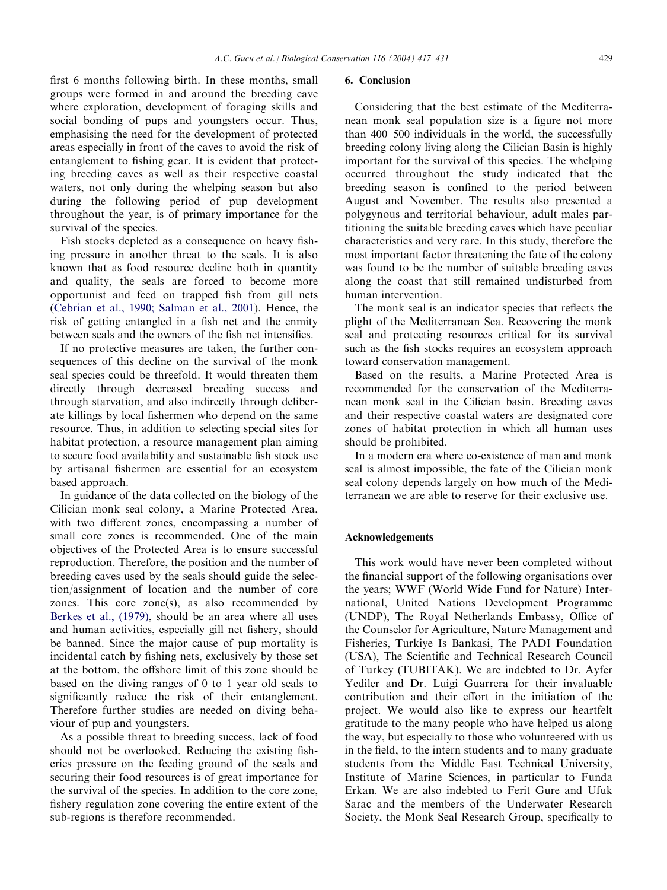first 6 months following birth. In these months, small groups were formed in and around the breeding cave where exploration, development of foraging skills and social bonding of pups and youngsters occur. Thus, emphasising the need for the development of protected areas especially in front of the caves to avoid the risk of entanglement to fishing gear. It is evident that protecting breeding caves as well as their respective coastal waters, not only during the whelping season but also during the following period of pup development throughout the year,is of primary importance for the survival of the species.

Fish stocks depleted as a consequence on heavy fishing pressure in another threat to the seals. It is also known that as food resource decline both in quantity and quality, the seals are forced to become more opportunist and feed on trapped fish from gill nets (Cebrian et al., 1990; Salman et al., 2001). Hence, the risk of getting entangled in a fish net and the enmity between seals and the owners of the fish net intensifies.

If no protective measures are taken, the further consequences of this decline on the survival of the monk seal species could be threefold. It would threaten them directly through decreased breeding success and through starvation, and also indirectly through deliberate killings by local fishermen who depend on the same resource. Thus, in addition to selecting special sites for habitat protection, a resource management plan aiming to secure food availability and sustainable fish stock use by artisanal fishermen are essential for an ecosystem based approach.

In guidance of the data collected on the biology of the Cilician monk seal colony, a Marine Protected Area, with two different zones, encompassing a number of small core zones is recommended. One of the main objectives of the Protected Area is to ensure successful reproduction. Therefore, the position and the number of breeding caves used by the seals should guide the selection/assignment of location and the number of core zones. This core zone $(s)$ , as also recommended by Berkes et al., (1979), should be an area where all uses and human activities, especially gill net fishery, should be banned. Since the major cause of pup mortality is incidental catch by fishing nets, exclusively by those set at the bottom, the offshore limit of this zone should be based on the diving ranges of 0 to 1 year old seals to significantly reduce the risk of their entanglement. Therefore further studies are needed on diving behaviour of pup and youngsters.

As a possible threat to breeding success, lack of food should not be overlooked. Reducing the existing fisheries pressure on the feeding ground of the seals and securing their food resources is of great importance for the survival of the species. In addition to the core zone, fishery regulation zone covering the entire extent of the sub-regions is therefore recommended.

#### 6. Conclusion

Considering that the best estimate of the Mediterranean monk seal population size is a figure not more than  $400-500$  individuals in the world, the successfully breeding colony living along the Cilician Basin is highly important for the survival of this species. The whelping occurred throughout the study indicated that the breeding season is confined to the period between August and November. The results also presented a polygynous and territorial behaviour, adult males partitioning the suitable breeding caves which have peculiar characteristics and very rare. In this study, therefore the most important factor threatening the fate of the colony was found to be the number of suitable breeding caves along the coast that still remained undisturbed from human intervention.

The monk seal is an indicator species that reflects the plight of the Mediterranean Sea. Recovering the monk seal and protecting resources critical for its survival such as the fish stocks requires an ecosystem approach toward conservation management.

Based on the results, a Marine Protected Area is recommended for the conservation of the Mediterranean monk seal in the Cilician basin. Breeding caves and their respective coastal waters are designated core zones of habitat protection in which all human uses should be prohibited.

In a modern era where co-existence of man and monk seal is almost impossible, the fate of the Cilician monk seal colony depends largely on how much of the Mediterranean we are able to reserve for their exclusive use.

#### Acknowledgements

This work would have never been completed without the financial support of the following organisations over the years; WWF (World Wide Fund for Nature) International, United Nations Development Programme (UNDP), The Royal Netherlands Embassy, Office of the Counselor for Agriculture, Nature Management and Fisheries, Turkiye Is Bankasi, The PADI Foundation (USA), The Scientific and Technical Research Council of Turkey (TUBITAK). We are indebted to Dr. Ayfer Yediler and Dr. Luigi Guarrera for their invaluable contribution and their effort in the initiation of the project. We would also like to express our heartfelt gratitude to the many people who have helped us along the way, but especially to those who volunteered with us in the field, to the intern students and to many graduate students from the Middle East Technical University, Institute of Marine Sciences, in particular to Funda Erkan. We are also indebted to Ferit Gure and Ufuk Sarac and the members of the Underwater Research Society, the Monk Seal Research Group, specifically to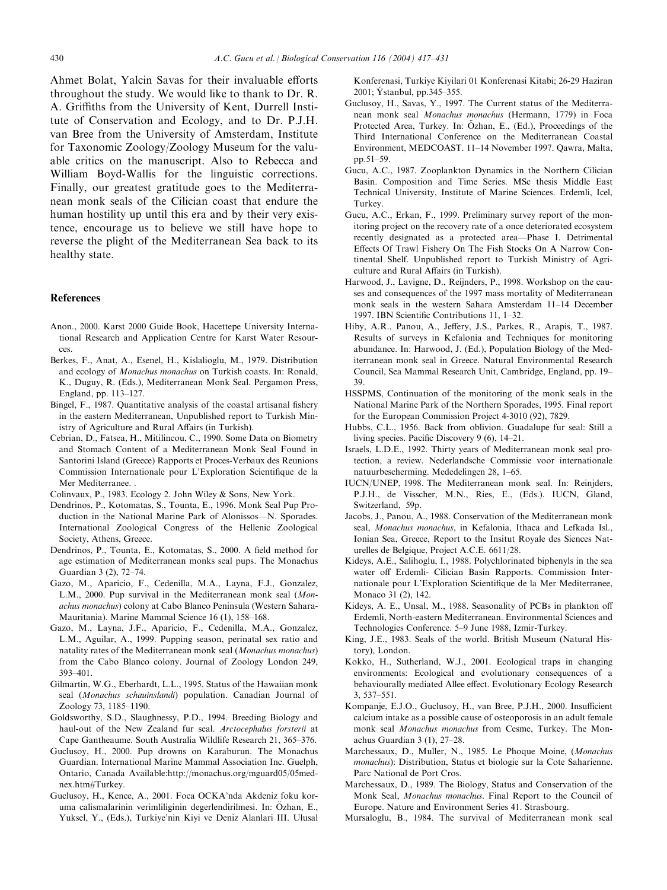<span id="page-13-0"></span>Ahmet Bolat, Yalcin Savas for their invaluable efforts throughout the study. We would like to thank to Dr. R. A. Griffiths from the University of Kent, Durrell Institute of Conservation and Ecology, and to Dr. P.J.H. van Bree from the University of Amsterdam, Institute for Taxonomic Zoology/Zoology Museum for the valuable critics on the manuscript. Also to Rebecca and William Boyd-Wallis for the linguistic corrections. Finally, our greatest gratitude goes to the Mediterranean monk seals of the Cilician coast that endure the human hostility up until this era and by their very existence, encourage us to believe we still have hope to reverse the plight of the Mediterranean Sea back to its healthy state.

#### **References**

- Anon., 2000. Karst 2000 Guide Book, Hacettepe University International Research and Application Centre for Karst Water Resources.
- Berkes, F., Anat, A., Esenel, H., Kislalioglu, M., 1979. Distribution and ecology of Monachus monachus on Turkish coasts. In: Ronald, K., Duguy, R. (Eds.), Mediterranean Monk Seal. Pergamon Press, England, pp. 113–127.
- Bingel, F., 1987. Quantitative analysis of the coastal artisanal fishery in the eastern Mediterranean, Unpublished report to Turkish Ministry of Agriculture and Rural Affairs (in Turkish).
- Cebrian,D.,Fatsea,H.,Mitilincou,C.,1990. Some Data on Biometry and Stomach Content of a Mediterranean Monk Seal Found in Santorini Island (Greece) Rapports et Proces-Verbaux des Reunions Commission Internationale pour L'Exploration Scientifique de la Mer Mediterranee. .
- Colinvaux, P., 1983. Ecology 2. John Wiley & Sons, New York.
- Dendrinos, P., Kotomatas, S., Tounta, E., 1996. Monk Seal Pup Production in the National Marine Park of Alonissos—N. Sporades. International Zoological Congress of the Hellenic Zoological Society, Athens, Greece.
- Dendrinos, P., Tounta, E., Kotomatas, S., 2000. A field method for age estimation of Mediterranean monks seal pups. The Monachus Guardian 3 (2), 72-74.
- Gazo, M., Aparicio, F., Cedenilla, M.A., Layna, F.J., Gonzalez, L.M., 2000. Pup survival in the Mediterranean monk seal (Monachus monachus) colony at Cabo Blanco Peninsula (Western Sahara-Mauritania). Marine Mammal Science 16 (1), 158-168.
- Gazo,M.,Layna,J.F.,Aparicio,F.,Cedenilla,M.A.,Gonzalez, L.M., Aguilar, A., 1999. Pupping season, perinatal sex ratio and natality rates of the Mediterranean monk seal (Monachus monachus) from the Cabo Blanco colony. Journal of Zoology London 249, 393–401.
- Gilmartin, W.G., Eberhardt, L.L., 1995. Status of the Hawaiian monk seal (Monachus schauinslandi) population. Canadian Journal of Zoology 73,1185–1190.
- Goldsworthy, S.D., Slaughnessy, P.D., 1994. Breeding Biology and haul-out of the New Zealand fur seal. Arctocephalus forsterii at Cape Gantheaume. South Australia Wildlife Research 21,365–376.
- Guclusoy,H.,2000. Pup drowns on Karaburun. The Monachus Guardian. International Marine Mammal Association Inc. Guelph, Ontario, Canada Available:http://monachus.org/mguard05/05mednex.htm#Turkey.
- Guclusoy,H.,Kence,A.,2001. Foca OCKA'nda Akdeniz foku koruma calismalarinin verimliliginin degerlendirilmesi. In: Özhan, E., Yuksel, Y., (Eds.), Turkiye'nin Kiyi ve Deniz Alanlari III. Ulusal

Konferenasi,Turkiye Kiyilari 01 Konferenasi Kitabi; 26-29 Haziran 2001; Ystanbul, pp.345–355.

- Guclusoy, H., Savas, Y., 1997. The Current status of the Mediterranean monk seal Monachus monachus (Hermann,1779) in Foca Protected Area, Turkey. In: Özhan, E., (Ed.), Proceedings of the Third International Conference on the Mediterranean Coastal Environment, MEDCOAST. 11-14 November 1997. Qawra, Malta, pp.51–59.
- Gucu,A.C.,1987. Zooplankton Dynamics in the Northern Cilician Basin. Composition and Time Series. MSc thesis Middle East Technical University, Institute of Marine Sciences. Erdemli, Icel, Turkey.
- Gucu, A.C., Erkan, F., 1999. Preliminary survey report of the monitoring project on the recovery rate of a once deteriorated ecosystem recently designated as a protected area—Phase I. Detrimental Effects Of Trawl Fishery On The Fish Stocks On A Narrow Continental Shelf. Unpublished report to Turkish Ministry of Agriculture and Rural Affairs (in Turkish).
- Harwood, J., Lavigne, D., Reijnders, P., 1998. Workshop on the causes and consequences of the 1997 mass mortality of Mediterranean monk seals in the western Sahara Amsterdam 11–14 December 1997. IBN Scientific Contributions 11, 1-32.
- Hiby, A.R., Panou, A., Jeffery, J.S., Parkes, R., Arapis, T., 1987. Results of surveys in Kefalonia and Techniques for monitoring abundance. In: Harwood, J. (Ed.), Population Biology of the Mediterranean monk seal in Greece. Natural Environmental Research Council, Sea Mammal Research Unit, Cambridge, England, pp. 19– 39.
- HSSPMS. Continuation of the monitoring of the monk seals in the National Marine Park of the Northern Sporades,1995. Final report for the European Commission Project 4-3010 (92), 7829.
- Hubbs, C.L., 1956. Back from oblivion. Guadalupe fur seal: Still a living species. Pacific Discovery 9 (6),14–21.
- Israels,L.D.E.,1992. Thirty years of Mediterranean monk seal protection, a review. Nederlandsche Commissie voor internationale natuurbescherming. Mededelingen 28,1–65.
- IUCN/UNEP,1998. The Mediterranean monk seal. In: Reinjders, P.J.H., de Visscher, M.N., Ries, E., (Eds.). IUCN, Gland, Switzerland, 59p.
- Jacobs, J., Panou, A., 1988. Conservation of the Mediterranean monk seal, Monachus monachus, in Kefalonia, Ithaca and Lefkada Isl., Ionian Sea, Greece, Report to the Insitut Royale des Siences Naturelles de Belgique, Project A.C.E. 6611/28.
- Kideys, A.E., Salihoglu, I., 1988. Polychlorinated biphenyls in the sea water off Erdemli- Cilician Basin Rapports. Commission Internationale pour L'Exploration Scientifique de la Mer Mediterranee, Monaco 31 (2), 142.
- Kideys, A. E., Unsal, M., 1988. Seasonality of PCBs in plankton off Erdemli, North-eastern Mediterranean. Environmental Sciences and Technologies Conference. 5–9 June 1988, Izmir-Turkey.
- King, J.E., 1983. Seals of the world. British Museum (Natural History), London.
- Kokko, H., Sutherland, W.J., 2001. Ecological traps in changing environments: Ecological and evolutionary consequences of a behaviourally mediated Allee effect. Evolutionary Ecology Research 3,537–551.
- Kompanje, E.J.O., Guclusoy, H., van Bree, P.J.H., 2000. Insufficient calcium intake as a possible cause of osteoporosis in an adult female monk seal Monachus monachus from Cesme, Turkey. The Monachus Guardian 3 (1),27–28.
- Marchessaux, D., Muller, N., 1985. Le Phoque Moine, (Monachus monachus): Distribution, Status et biologie sur la Cote Saharienne. Parc National de Port Cros.
- Marchessaux, D., 1989. The Biology, Status and Conservation of the Monk Seal, Monachus monachus. Final Report to the Council of Europe. Nature and Environment Series 41. Strasbourg.
- Mursaloglu,B.,1984. The survival of Mediterranean monk seal